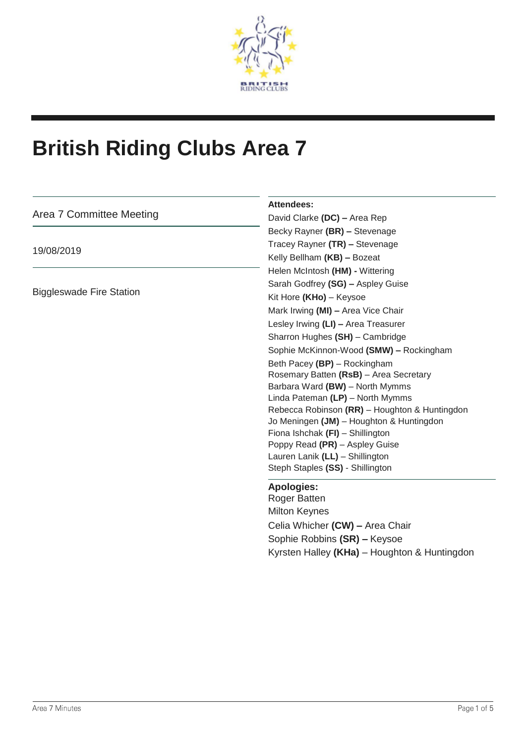

# **British Riding Clubs Area 7**

| Area 7 Committee Meeting        | <b>Attendees:</b><br>David Clarke (DC) - Area Rep |
|---------------------------------|---------------------------------------------------|
|                                 | Becky Rayner (BR) - Stevenage                     |
| 19/08/2019                      | Tracey Rayner (TR) - Stevenage                    |
|                                 |                                                   |
|                                 | Kelly Bellham (KB) - Bozeat                       |
| <b>Biggleswade Fire Station</b> | Helen McIntosh (HM) - Wittering                   |
|                                 | Sarah Godfrey (SG) - Aspley Guise                 |
|                                 | Kit Hore (KHo) - Keysoe                           |
|                                 | Mark Irwing (MI) - Area Vice Chair                |
|                                 | Lesley Irwing (LI) - Area Treasurer               |
|                                 | Sharron Hughes (SH) - Cambridge                   |
|                                 | Sophie McKinnon-Wood (SMW) - Rockingham           |
|                                 | Beth Pacey (BP) - Rockingham                      |
|                                 | Rosemary Batten (RsB) - Area Secretary            |
|                                 | Barbara Ward (BW) - North Mymms                   |
|                                 | Linda Pateman (LP) - North Mymms                  |
|                                 | Rebecca Robinson (RR) - Houghton & Huntingdon     |
|                                 | Jo Meningen (JM) - Houghton & Huntingdon          |
|                                 | Fiona Ishchak (FI) - Shillington                  |
|                                 | Poppy Read (PR) - Aspley Guise                    |
|                                 | Lauren Lanik (LL) - Shillington                   |
|                                 | Steph Staples (SS) - Shillington                  |
|                                 | <b>Apologies:</b>                                 |
|                                 | <b>Roger Batten</b>                               |
|                                 | <b>Milton Keynes</b>                              |
|                                 | Celia Whicher (CW) - Area Chair                   |
|                                 | Sophie Robbins (SR) - Keysoe                      |
|                                 | Kyrsten Halley (KHa) - Houghton & Huntingdon      |
|                                 |                                                   |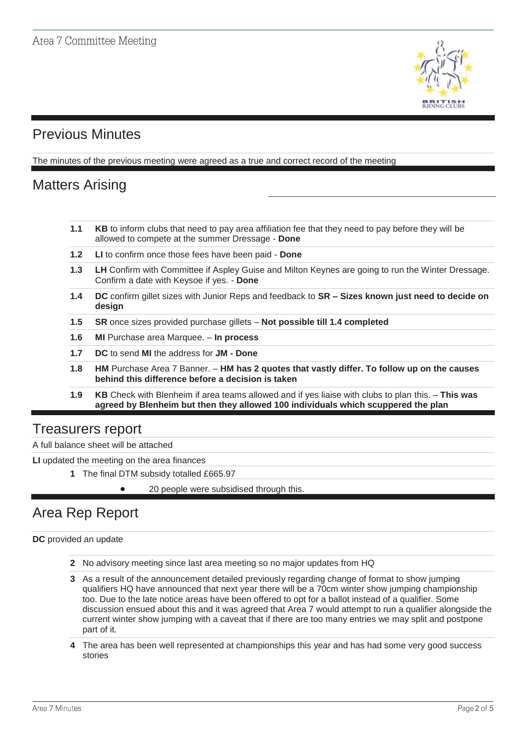

# Previous Minutes

The minutes of the previous meeting were agreed as a true and correct record of the meeting

# Matters Arising

- **1.1 KB** to inform clubs that need to pay area affiliation fee that they need to pay before they will be allowed to compete at the summer Dressage - **Done**
- **1.2 LI** to confirm once those fees have been paid **Done**
- **1.3 LH** Confirm with Committee if Aspley Guise and Milton Keynes are going to run the Winter Dressage. Confirm a date with Keysoe if yes. - **Done**
- **1.4 DC** confirm gillet sizes with Junior Reps and feedback to **SR – Sizes known just need to decide on design**
- **1.5 SR** once sizes provided purchase gillets **Not possible till 1.4 completed**
- **1.6 MI** Purchase area Marquee. **In process**
- **1.7 DC** to send **MI** the address for **JM - Done**
- **1.8 HM** Purchase Area 7 Banner. **HM has 2 quotes that vastly differ. To follow up on the causes behind this difference before a decision is taken**
- **1.9 KB** Check with Blenheim if area teams allowed and if yes liaise with clubs to plan this. **This was agreed by Blenheim but then they allowed 100 individuals which scuppered the plan**

### Treasurers report

A full balance sheet will be attached

**LI** updated the meeting on the area finances

**1** The final DTM subsidy totalled £665.97

• 20 people were subsidised through this.

## Area Rep Report

**DC** provided an update

- **2** No advisory meeting since last area meeting so no major updates from HQ
- **3** As a result of the announcement detailed previously regarding change of format to show jumping qualifiers HQ have announced that next year there will be a 70cm winter show jumping championship too. Due to the late notice areas have been offered to opt for a ballot instead of a qualifier. Some discussion ensued about this and it was agreed that Area 7 would attempt to run a qualifier alongside the current winter show jumping with a caveat that if there are too many entries we may split and postpone part of it.
- **4** The area has been well represented at championships this year and has had some very good success stories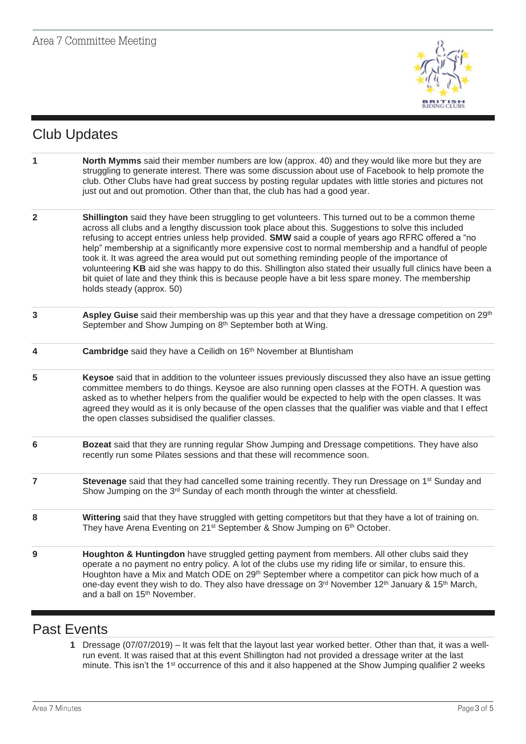

# Club Updates

- **1 North Mymms** said their member numbers are low (approx. 40) and they would like more but they are struggling to generate interest. There was some discussion about use of Facebook to help promote the club. Other Clubs have had great success by posting regular updates with little stories and pictures not just out and out promotion. Other than that, the club has had a good year.
- **2 Shillington** said they have been struggling to get volunteers. This turned out to be a common theme across all clubs and a lengthy discussion took place about this. Suggestions to solve this included refusing to accept entries unless help provided. **SMW** said a couple of years ago RFRC offered a "no help" membership at a significantly more expensive cost to normal membership and a handful of people took it. It was agreed the area would put out something reminding people of the importance of volunteering **KB** aid she was happy to do this. Shillington also stated their usually full clinics have been a bit quiet of late and they think this is because people have a bit less spare money. The membership holds steady (approx. 50)
- **3 Aspley Guise** said their membership was up this year and that they have a dressage competition on 29th September and Show Jumping on 8<sup>th</sup> September both at Wing.
- **4 Cambridge** said they have a Ceilidh on 16th November at Bluntisham
- **5 Keysoe** said that in addition to the volunteer issues previously discussed they also have an issue getting committee members to do things. Keysoe are also running open classes at the FOTH. A question was asked as to whether helpers from the qualifier would be expected to help with the open classes. It was agreed they would as it is only because of the open classes that the qualifier was viable and that I effect the open classes subsidised the qualifier classes.
- **6 Bozeat** said that they are running regular Show Jumping and Dressage competitions. They have also recently run some Pilates sessions and that these will recommence soon.
- **7 Stevenage** said that they had cancelled some training recently. They run Dressage on 1<sup>st</sup> Sunday and Show Jumping on the 3<sup>rd</sup> Sunday of each month through the winter at chessfield.
- **8 Wittering** said that they have struggled with getting competitors but that they have a lot of training on. They have Arena Eventing on 21<sup>st</sup> September & Show Jumping on 6<sup>th</sup> October.
- **9 Houghton & Huntingdon** have struggled getting payment from members. All other clubs said they operate a no payment no entry policy. A lot of the clubs use my riding life or similar, to ensure this. Houghton have a Mix and Match ODE on 29<sup>th</sup> September where a competitor can pick how much of a one-day event they wish to do. They also have dressage on 3<sup>rd</sup> November 12<sup>th</sup> January & 15<sup>th</sup> March, and a ball on 15<sup>th</sup> November.

### Past Events

**1** Dressage (07/07/2019) – It was felt that the layout last year worked better. Other than that, it was a wellrun event. It was raised that at this event Shillington had not provided a dressage writer at the last minute. This isn't the 1<sup>st</sup> occurrence of this and it also happened at the Show Jumping qualifier 2 weeks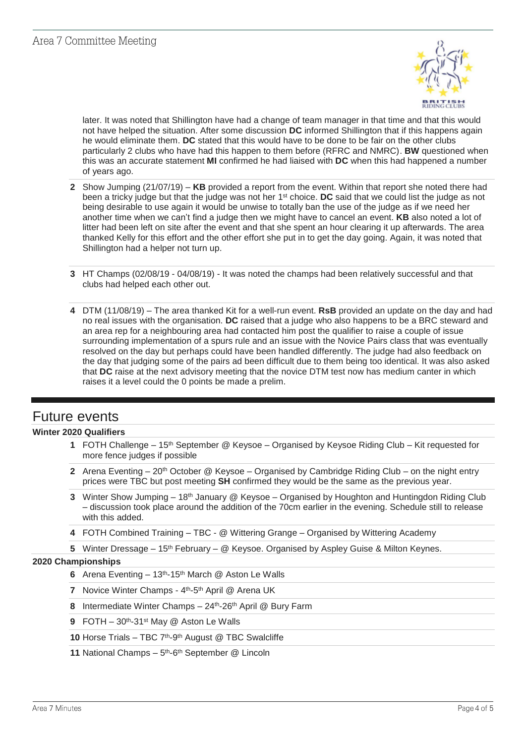

later. It was noted that Shillington have had a change of team manager in that time and that this would not have helped the situation. After some discussion **DC** informed Shillington that if this happens again he would eliminate them. **DC** stated that this would have to be done to be fair on the other clubs particularly 2 clubs who have had this happen to them before (RFRC and NMRC). **BW** questioned when this was an accurate statement **MI** confirmed he had liaised with **DC** when this had happened a number of years ago.

- **2** Show Jumping (21/07/19) **KB** provided a report from the event. Within that report she noted there had been a tricky judge but that the judge was not her 1<sup>st</sup> choice. **DC** said that we could list the judge as not being desirable to use again it would be unwise to totally ban the use of the judge as if we need her another time when we can't find a judge then we might have to cancel an event. **KB** also noted a lot of litter had been left on site after the event and that she spent an hour clearing it up afterwards. The area thanked Kelly for this effort and the other effort she put in to get the day going. Again, it was noted that Shillington had a helper not turn up.
- **3** HT Champs (02/08/19 04/08/19) It was noted the champs had been relatively successful and that clubs had helped each other out.
- **4** DTM (11/08/19) The area thanked Kit for a well-run event. **RsB** provided an update on the day and had no real issues with the organisation. **DC** raised that a judge who also happens to be a BRC steward and an area rep for a neighbouring area had contacted him post the qualifier to raise a couple of issue surrounding implementation of a spurs rule and an issue with the Novice Pairs class that was eventually resolved on the day but perhaps could have been handled differently. The judge had also feedback on the day that judging some of the pairs ad been difficult due to them being too identical. It was also asked that **DC** raise at the next advisory meeting that the novice DTM test now has medium canter in which raises it a level could the 0 points be made a prelim.

### Future events

#### **Winter 2020 Qualifiers**

- **1** FOTH Challenge 15th September @ Keysoe Organised by Keysoe Riding Club Kit requested for more fence judges if possible
- **2** Arena Eventing 20<sup>th</sup> October @ Keysoe Organised by Cambridge Riding Club on the night entry prices were TBC but post meeting **SH** confirmed they would be the same as the previous year.
- **3** Winter Show Jumping 18th January @ Keysoe Organised by Houghton and Huntingdon Riding Club – discussion took place around the addition of the 70cm earlier in the evening. Schedule still to release with this added.
- **4** FOTH Combined Training TBC @ Wittering Grange Organised by Wittering Academy
- 5 Winter Dressage 15<sup>th</sup> February @ Keysoe. Organised by Aspley Guise & Milton Keynes.

#### **2020 Championships**

- **6** Arena Eventing 13th-15th March @ Aston Le Walls
- **7** Novice Winter Champs 4<sup>th</sup>-5<sup>th</sup> April @ Arena UK
- **8** Intermediate Winter Champs 24th-26th April @ Bury Farm
- **9** FOTH 30th-31st May @ Aston Le Walls

10 Horse Trials - TBC 7<sup>th</sup>-9<sup>th</sup> August @ TBC Swalcliffe

11 National Champs - 5<sup>th</sup>-6<sup>th</sup> September @ Lincoln